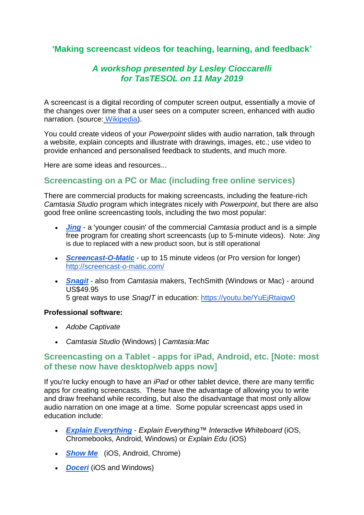# **'Making screencast videos for teaching, learning, and feedback'**

# *A workshop presented by Lesley Cioccarelli for TasTESOL on 11 May 2019*

A screencast is a digital recording of computer screen output, essentially a movie of the changes over time that a user sees on a computer screen, enhanced with audio narration. (source: [Wikipedia\)](http://en.wikipedia.org/wiki/Screencast).

You could create videos of your *Powerpoint* slides with audio narration, talk through a website, explain concepts and illustrate with drawings, images, etc.; use video to provide enhanced and personalised feedback to students, and much more.

Here are some ideas and resources...

# **Screencasting on a PC or Mac (including free online services)**

There are commercial products for making screencasts, including the feature-rich *Camtasia Studio* program which integrates nicely with *Powerpoint*, but there are also good free online screencasting tools, including the two most popular:

- *[Jing](https://www.techsmith.com/jing-tool.html)* a 'younger cousin' of the commercial *Camtasia* product and is a simple free program for creating short screencasts (up to 5-minute videos). Note: *Jing* is due to replaced with a new product soon, but is still operational
- *[Screencast-O-Matic](http://www.screencast-o-matic.com/)* up to 15 minute videos (or Pro version for longer) <http://screencast-o-matic.com/>
- *[Snagit](https://www.techsmith.com/screen-capture.html)* also from *Camtasia* makers, TechSmith (Windows or Mac) around US\$49.95 5 great ways to use *SnagIT* in education:<https://youtu.be/YuEjRtaiqw0>

### **Professional software:**

- *Adobe Captivate*
- *Camtasia Studio* (Windows) | *Camtasia:Mac*

## **Screencasting on a Tablet - apps for iPad, Android, etc. [Note: most of these now have desktop/web apps now]**

If you're lucky enough to have an *iPad* or other tablet device, there are many terrific apps for creating screencasts. These have the advantage of allowing you to write and draw freehand while recording, but also the disadvantage that most only allow audio narration on one image at a time. Some popular screencast apps used in education include:

- *[Explain Everything](http://www.explaineverything.com/) Explain Everything™ Interactive Whiteboard* (iOS, Chromebooks, Android, Windows) or *Explain Edu* (iOS)
- *[Show Me](http://www.showme.com/)* (iOS, Android, Chrome)
- *[Doceri](http://doceri.com/)* (iOS and Windows)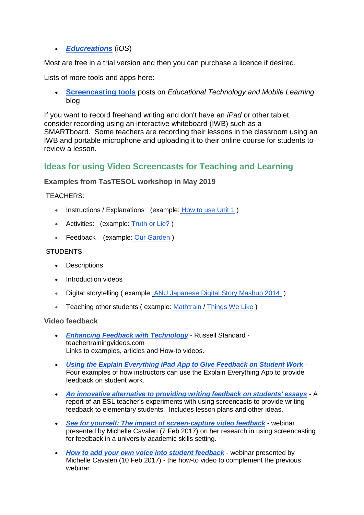## • *[Educreations](http://www.educreations.com/)* (i*OS*)

Most are free in a trial version and then you can purchase a licence if desired.

Lists of more tools and apps here:

• **[Screencasting tools](https://www.educatorstechnology.com/search/label/Screencasting%20tools)** posts on *Educational Technology and Mobile Learning* blog

If you want to record freehand writing and don't have an *iPad* or other tablet, consider recording using an interactive whiteboard (IWB) such as a SMARTboard. Some teachers are recording their lessons in the classroom using an IWB and portable microphone and uploading it to their online course for students to review a lesson.

## **Ideas for using Video Screencasts for Teaching and Learning**

### **Examples from TasTESOL workshop in May 2019**

#### TEACHERS:

- Instructions / Explanations (example: [How to use Unit 1](https://www.youtube.com/watch?v=lLp_8KQenYY))
- Activities: (example: [Truth or Lie?](https://www.youtube.com/watch?v=9GH_o_uVDG0) )
- Feedback (example: [Our Garden](https://www.youtube.com/watch?v=HQrFQiVsDzQ) )

#### STUDENTS:

- Descriptions
- Introduction videos
- Digital storytelling ( example: [ANU Japanese Digital Story Mashup 2014](https://www.youtube.com/watch?v=Or1zXck4sxY) )
- Teaching other students (example: [Mathtrain](http://mathtrain.tv/videos/615/adding-2-fractions-with-unlike-denominators) / [Things We Like](https://drive.google.com/file/d/0B_613K8nNS9LOTBhU0tpOEJkTlk/view))

#### **Video feedback**

- *[Enhancing Feedback with Technology](http://www.teachertrainingvideos.com/enhancing-feedback-with-technology/enhancing-feedback-with-technology.html)* Russell Standard teachertrainingvideos.com Links to examples, articles and How-to videos.
- *[Using the Explain Everything iPad App to Give Feedback on Student Work](http://blogs.onlineeducation.touro.edu/4-examples-feedback-student-work-using-explain-everything-app-ipads/)* Four examples of how instructors can use the Explain Everything App to provide feedback on student work.
- *[An innovative alternative to providing writing feedback on students' essays](http://unitec.researchbank.ac.nz/handle/10652/2271)* A report of an ESL teacher's experiments with using screencasts to provide writing feedback to elementary students. Includes lesson plans and other ideas.
- *[See for yourself: The impact of screen-capture video feedback](http://learningandteaching-navitas.com/playagain/see-impact-screen-capture-video-feedback/)* webinar presented by Michelle Cavaleri (7 Feb 2017) on her research in using screencasting for feedback in a university academic skills setting.
- *[How to add your own voice into student feedback](http://learningandteaching-navitas.com/playagain/add-voice-student-feedback/)* webinar presented by Michelle Cavaleri (10 Feb 2017) - the how-to video to complement the previous webinar